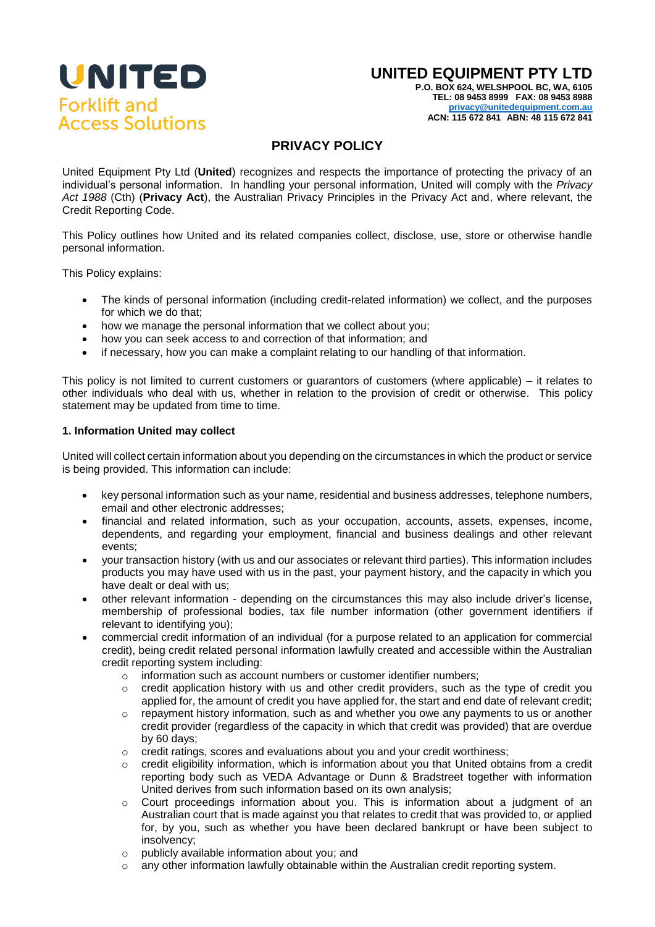

## **UNITED EQUIPMENT PTY LTD**

**P.O. BOX 624, WELSHPOOL BC, WA, 6105 TEL: 08 9453 8999 FAX: 08 9453 8988 [privacy@unitedequipment.com.au](mailto:privacy@unitedequipment.com.au?subject=Att:%20Privacy%20Compliance%20Officer%20/%20Company%20Secretary) ACN: 115 672 841 ABN: 48 115 672 841**

# **PRIVACY POLICY**

United Equipment Pty Ltd (**United**) recognizes and respects the importance of protecting the privacy of an individual's personal information. In handling your personal information, United will comply with the *Privacy Act 1988* (Cth) (**Privacy Act**), the Australian Privacy Principles in the Privacy Act and, where relevant, the Credit Reporting Code.

This Policy outlines how United and its related companies collect, disclose, use, store or otherwise handle personal information.

This Policy explains:

- The kinds of personal information (including credit-related information) we collect, and the purposes for which we do that;
- how we manage the personal information that we collect about you;
- how you can seek access to and correction of that information: and
- if necessary, how you can make a complaint relating to our handling of that information.

This policy is not limited to current customers or guarantors of customers (where applicable) – it relates to other individuals who deal with us, whether in relation to the provision of credit or otherwise. This policy statement may be updated from time to time.

#### **1. Information United may collect**

United will collect certain information about you depending on the circumstances in which the product or service is being provided. This information can include:

- key personal information such as your name, residential and business addresses, telephone numbers, email and other electronic addresses;
- financial and related information, such as your occupation, accounts, assets, expenses, income, dependents, and regarding your employment, financial and business dealings and other relevant events;
- your transaction history (with us and our associates or relevant third parties). This information includes products you may have used with us in the past, your payment history, and the capacity in which you have dealt or deal with us;
- other relevant information depending on the circumstances this may also include driver's license, membership of professional bodies, tax file number information (other government identifiers if relevant to identifying you);
- commercial credit information of an individual (for a purpose related to an application for commercial credit), being credit related personal information lawfully created and accessible within the Australian credit reporting system including:
	- o information such as account numbers or customer identifier numbers;
	- $\circ$  credit application history with us and other credit providers, such as the type of credit you applied for, the amount of credit you have applied for, the start and end date of relevant credit;
	- $\circ$  repayment history information, such as and whether you owe any payments to us or another credit provider (regardless of the capacity in which that credit was provided) that are overdue by 60 days;
	- o credit ratings, scores and evaluations about you and your credit worthiness;
	- credit eligibility information, which is information about you that United obtains from a credit reporting body such as VEDA Advantage or Dunn & Bradstreet together with information United derives from such information based on its own analysis;
	- o Court proceedings information about you. This is information about a judgment of an Australian court that is made against you that relates to credit that was provided to, or applied for, by you, such as whether you have been declared bankrupt or have been subject to insolvency;
	- o publicly available information about you; and
	- $\circ$  any other information lawfully obtainable within the Australian credit reporting system.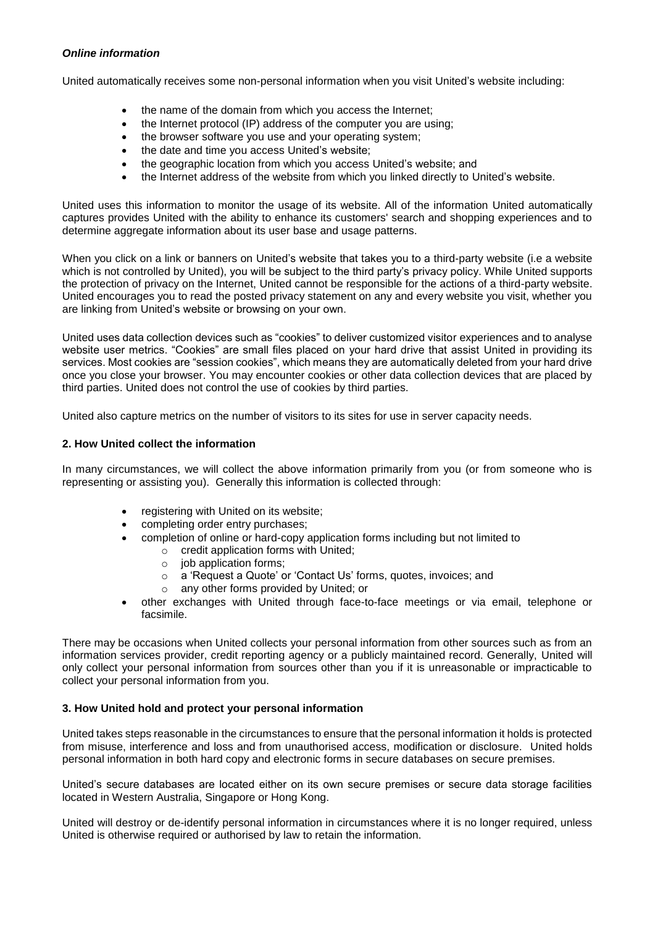### *Online information*

United automatically receives some non-personal information when you visit United's website including:

- the name of the domain from which you access the Internet;
- the Internet protocol (IP) address of the computer you are using;
- the browser software you use and your operating system;
- the date and time you access United's website;
- the geographic location from which you access United's website; and
- the Internet address of the website from which you linked directly to United's website.

United uses this information to monitor the usage of its website. All of the information United automatically captures provides United with the ability to enhance its customers' search and shopping experiences and to determine aggregate information about its user base and usage patterns.

When you click on a link or banners on United's website that takes you to a third-party website (i.e a website which is not controlled by United), you will be subject to the third party's privacy policy. While United supports the protection of privacy on the Internet, United cannot be responsible for the actions of a third-party website. United encourages you to read the posted privacy statement on any and every website you visit, whether you are linking from United's website or browsing on your own.

United uses data collection devices such as "cookies" to deliver customized visitor experiences and to analyse website user metrics. "Cookies" are small files placed on your hard drive that assist United in providing its services. Most cookies are "session cookies", which means they are automatically deleted from your hard drive once you close your browser. You may encounter cookies or other data collection devices that are placed by third parties. United does not control the use of cookies by third parties.

United also capture metrics on the number of visitors to its sites for use in server capacity needs.

#### **2. How United collect the information**

In many circumstances, we will collect the above information primarily from you (or from someone who is representing or assisting you). Generally this information is collected through:

- registering with United on its website;
- completing order entry purchases;
- completion of online or hard-copy application forms including but not limited to
	- $\circ$  credit application forms with United;
		- o iob application forms;
		- o a 'Request a Quote' or 'Contact Us' forms, quotes, invoices; and
		- o any other forms provided by United; or
- other exchanges with United through face-to-face meetings or via email, telephone or facsimile.

There may be occasions when United collects your personal information from other sources such as from an information services provider, credit reporting agency or a publicly maintained record. Generally, United will only collect your personal information from sources other than you if it is unreasonable or impracticable to collect your personal information from you.

#### **3. How United hold and protect your personal information**

United takes steps reasonable in the circumstances to ensure that the personal information it holds is protected from misuse, interference and loss and from unauthorised access, modification or disclosure. United holds personal information in both hard copy and electronic forms in secure databases on secure premises.

United's secure databases are located either on its own secure premises or secure data storage facilities located in Western Australia, Singapore or Hong Kong.

United will destroy or de-identify personal information in circumstances where it is no longer required, unless United is otherwise required or authorised by law to retain the information.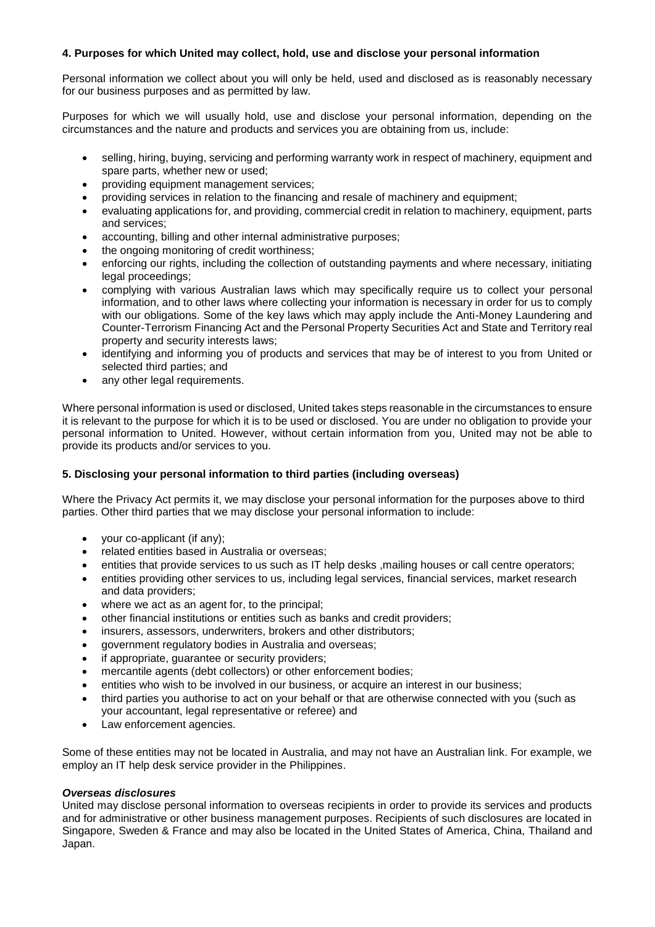## **4. Purposes for which United may collect, hold, use and disclose your personal information**

Personal information we collect about you will only be held, used and disclosed as is reasonably necessary for our business purposes and as permitted by law.

Purposes for which we will usually hold, use and disclose your personal information, depending on the circumstances and the nature and products and services you are obtaining from us, include:

- selling, hiring, buying, servicing and performing warranty work in respect of machinery, equipment and spare parts, whether new or used;
- providing equipment management services;
- providing services in relation to the financing and resale of machinery and equipment;
- evaluating applications for, and providing, commercial credit in relation to machinery, equipment, parts and services;
- accounting, billing and other internal administrative purposes;
- the ongoing monitoring of credit worthiness;
- enforcing our rights, including the collection of outstanding payments and where necessary, initiating legal proceedings;
- complying with various Australian laws which may specifically require us to collect your personal information, and to other laws where collecting your information is necessary in order for us to comply with our obligations. Some of the key laws which may apply include the Anti-Money Laundering and Counter-Terrorism Financing Act and the Personal Property Securities Act and State and Territory real property and security interests laws;
- identifying and informing you of products and services that may be of interest to you from United or selected third parties; and
- any other legal requirements.

Where personal information is used or disclosed, United takes steps reasonable in the circumstances to ensure it is relevant to the purpose for which it is to be used or disclosed. You are under no obligation to provide your personal information to United. However, without certain information from you, United may not be able to provide its products and/or services to you.

## **5. Disclosing your personal information to third parties (including overseas)**

Where the Privacy Act permits it, we may disclose your personal information for the purposes above to third parties. Other third parties that we may disclose your personal information to include:

- your co-applicant (if any);
- related entities based in Australia or overseas;
- entities that provide services to us such as IT help desks ,mailing houses or call centre operators;
- entities providing other services to us, including legal services, financial services, market research and data providers;
- where we act as an agent for, to the principal;
- other financial institutions or entities such as banks and credit providers;
- insurers, assessors, underwriters, brokers and other distributors;
- government regulatory bodies in Australia and overseas;
- if appropriate, guarantee or security providers;
- mercantile agents (debt collectors) or other enforcement bodies;
- entities who wish to be involved in our business, or acquire an interest in our business;
- third parties you authorise to act on your behalf or that are otherwise connected with you (such as your accountant, legal representative or referee) and
- Law enforcement agencies.

Some of these entities may not be located in Australia, and may not have an Australian link. For example, we employ an IT help desk service provider in the Philippines.

## *Overseas disclosures*

United may disclose personal information to overseas recipients in order to provide its services and products and for administrative or other business management purposes. Recipients of such disclosures are located in Singapore, Sweden & France and may also be located in the United States of America, China, Thailand and Japan.